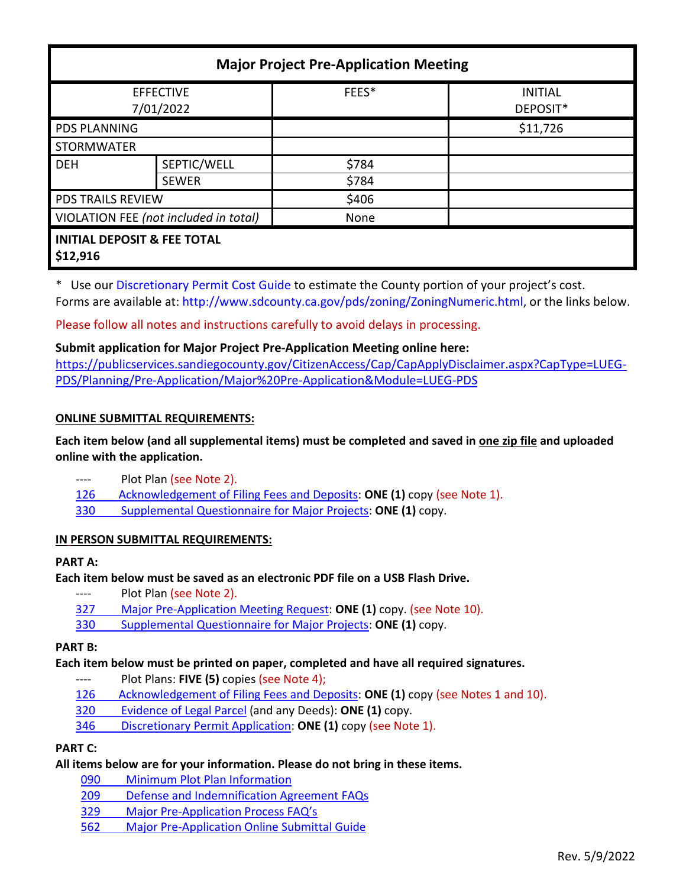| <b>Major Project Pre-Application Meeting</b>       |              |       |                            |
|----------------------------------------------------|--------------|-------|----------------------------|
| <b>EFFECTIVE</b><br>7/01/2022                      |              | FEES* | <b>INITIAL</b><br>DEPOSIT* |
| <b>PDS PLANNING</b>                                |              |       | \$11,726                   |
| <b>STORMWATER</b>                                  |              |       |                            |
| <b>DEH</b>                                         | SEPTIC/WELL  | \$784 |                            |
|                                                    | <b>SEWER</b> | \$784 |                            |
| <b>PDS TRAILS REVIEW</b>                           |              | \$406 |                            |
| VIOLATION FEE (not included in total)              |              | None  |                            |
| <b>INITIAL DEPOSIT &amp; FEE TOTAL</b><br>\$12,916 |              |       |                            |

\* Use ou[r Discretionary Permit Cost Guide](http://www.sandiegocounty.gov/content/dam/sdc/pds/docs/Discretionary_Permit_Cost_Guide.xlsx) to estimate the County portion of your project's cost. Forms are available at[: http://www.sdcounty.ca.gov/pds/zoning/ZoningNumeric.html,](http://www.sdcounty.ca.gov/pds/zoning/ZoningNumeric.html) or the links below.

Please follow all notes and instructions carefully to avoid delays in processing.

# **Submit application for Major Project Pre-Application Meeting online here:**

[https://publicservices.sandiegocounty.gov/CitizenAccess/Cap/CapApplyDisclaimer.aspx?CapType=LUEG-](https://publicservices.sandiegocounty.gov/CitizenAccess/Cap/CapApplyDisclaimer.aspx?CapType=LUEG-PDS/Planning/Pre-Application/Major%20Pre-Application&Module=LUEG-PDS)[PDS/Planning/Pre-Application/Major%20Pre-Application&Module=LUEG-PDS](https://publicservices.sandiegocounty.gov/CitizenAccess/Cap/CapApplyDisclaimer.aspx?CapType=LUEG-PDS/Planning/Pre-Application/Major%20Pre-Application&Module=LUEG-PDS)

### **ONLINE SUBMITTAL REQUIREMENTS:**

**Each item below (and all supplemental items) must be completed and saved in one zip file and uploaded online with the application.**

- ---- Plot Plan (see Note 2).
- [126 Acknowledgement of Filing Fees and Deposits:](http://www.sdcounty.ca.gov/pds/zoning/formfields/PDS-PLN-126.pdf) **ONE (1)** copy (see Note 1).
- 330 [Supplemental Questionnaire for Major Projects:](http://www.sdcounty.ca.gov/pds/zoning/formfields/PDS-PLN-330.pdf) **ONE (1)** copy.

#### **IN PERSON SUBMITTAL REQUIREMENTS:**

#### **PART A:**

#### **Each item below must be saved as an electronic PDF file on a USB Flash Drive.**

- ---- Plot Plan (see Note 2).
- [327 Major Pre-Application Meeting Request:](http://www.sdcounty.ca.gov/pds/zoning/formfields/PDS-PLN-327.pdf) **ONE (1)** copy. (see Note 10).
- 330 [Supplemental Questionnaire for Major Projects:](http://www.sdcounty.ca.gov/pds/zoning/formfields/PDS-PLN-330.pdf) **ONE (1)** copy.

### **PART B:**

# **Each item below must be printed on paper, completed and have all required signatures.**

- ---- Plot Plans: **FIVE (5)** copies (see Note 4);
- [126 Acknowledgement of Filing Fees and Deposits:](http://www.sdcounty.ca.gov/pds/zoning/formfields/PDS-PLN-126.pdf) **ONE (1)** copy (see Notes 1 and 10).
- [320 Evidence of Legal Parcel](http://www.sdcounty.ca.gov/pds/zoning/formfields/PDS-PLN-320.pdf) (and any Deeds): **ONE (1)** copy.
- 346 [Discretionary Permit Application:](http://www.sdcounty.ca.gov/pds/zoning/formfields/PDS-PLN-346.pdf) **ONE (1)** copy (see Note 1).

# **PART C:**

# **All items below are for your information. Please do not bring in these items.**

- [090 Minimum Plot Plan Information](http://www.sdcounty.ca.gov/pds/docs/pds090.pdf)
- 209 [Defense and Indemnification Agreement FAQs](http://www.sdcounty.ca.gov/pds/zoning/formfields/PDS-PLN-209.pdf)
- [329 Major Pre-Application Process FAQ's](http://www.sdcounty.ca.gov/pds/zoning/formfields/PDS-PLN-329.pdf)
- 562 [Major Pre-Application Online Submittal Guide](https://www.sandiegocounty.gov/content/dam/sdc/pds/zoning/formfields/PDS-PLN-562.pdf)